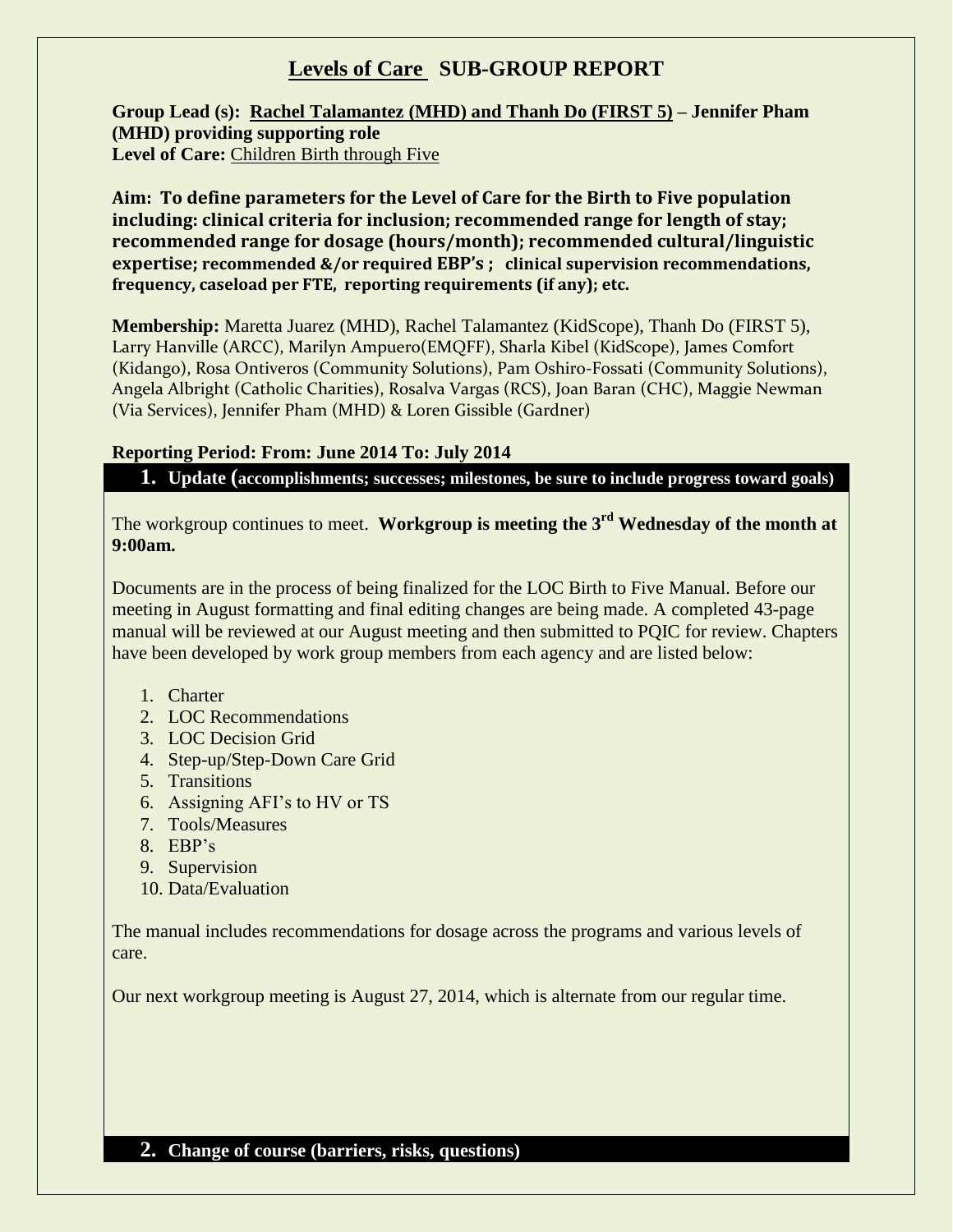## **Levels of Care SUB-GROUP REPORT**

**Group Lead (s): Rachel Talamantez (MHD) and Thanh Do (FIRST 5) – Jennifer Pham (MHD) providing supporting role Level of Care:** Children Birth through Five

**Aim: To define parameters for the Level of Care for the Birth to Five population including: clinical criteria for inclusion; recommended range for length of stay; recommended range for dosage (hours/month); recommended cultural/linguistic expertise; recommended &/or required EBP's ; clinical supervision recommendations, frequency, caseload per FTE, reporting requirements (if any); etc.** 

**Membership:** Maretta Juarez (MHD), Rachel Talamantez (KidScope), Thanh Do (FIRST 5), Larry Hanville (ARCC), Marilyn Ampuero(EMQFF), Sharla Kibel (KidScope), James Comfort (Kidango), Rosa Ontiveros (Community Solutions), Pam Oshiro-Fossati (Community Solutions), Angela Albright (Catholic Charities), Rosalva Vargas (RCS), Joan Baran (CHC), Maggie Newman (Via Services), Jennifer Pham (MHD) & Loren Gissible (Gardner)

### **Reporting Period: From: June 2014 To: July 2014**

**1. Update (accomplishments; successes; milestones, be sure to include progress toward goals)**

The workgroup continues to meet. **Workgroup is meeting the 3rd Wednesday of the month at 9:00am.**

Documents are in the process of being finalized for the LOC Birth to Five Manual. Before our meeting in August formatting and final editing changes are being made. A completed 43-page manual will be reviewed at our August meeting and then submitted to PQIC for review. Chapters have been developed by work group members from each agency and are listed below:

- 1. Charter
- 2. LOC Recommendations
- 3. LOC Decision Grid
- 4. Step-up/Step-Down Care Grid
- 5. Transitions
- 6. Assigning AFI's to HV or TS
- 7. Tools/Measures
- 8. EBP's
- 9. Supervision
- 10. Data/Evaluation

The manual includes recommendations for dosage across the programs and various levels of care.

Our next workgroup meeting is August 27, 2014, which is alternate from our regular time.

### **2. Change of course (barriers, risks, questions)**